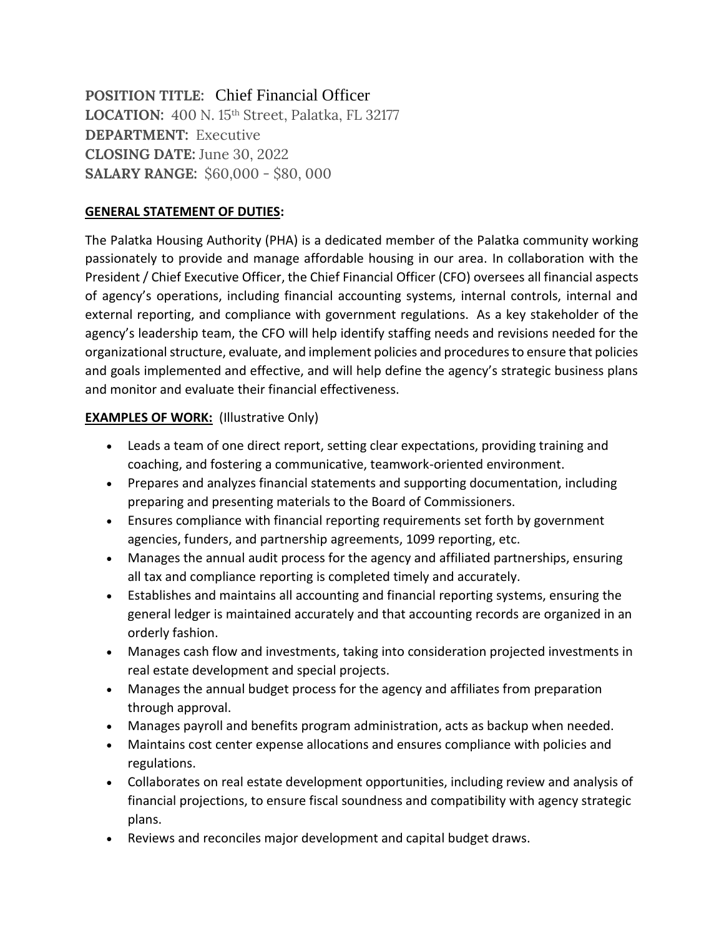**POSITION TITLE:** Chief Financial Officer **LOCATION:** 400 N. 15th Street, Palatka, FL 32177 **DEPARTMENT:** Executive **CLOSING DATE:** June 30, 2022 **SALARY RANGE:** \$60,000 - \$80, 000

#### **GENERAL STATEMENT OF DUTIES:**

The Palatka Housing Authority (PHA) is a dedicated member of the Palatka community working passionately to provide and manage affordable housing in our area. In collaboration with the President / Chief Executive Officer, the Chief Financial Officer (CFO) oversees all financial aspects of agency's operations, including financial accounting systems, internal controls, internal and external reporting, and compliance with government regulations. As a key stakeholder of the agency's leadership team, the CFO will help identify staffing needs and revisions needed for the organizational structure, evaluate, and implement policies and procedures to ensure that policies and goals implemented and effective, and will help define the agency's strategic business plans and monitor and evaluate their financial effectiveness.

## **EXAMPLES OF WORK:** (Illustrative Only)

- Leads a team of one direct report, setting clear expectations, providing training and coaching, and fostering a communicative, teamwork-oriented environment.
- Prepares and analyzes financial statements and supporting documentation, including preparing and presenting materials to the Board of Commissioners.
- Ensures compliance with financial reporting requirements set forth by government agencies, funders, and partnership agreements, 1099 reporting, etc.
- Manages the annual audit process for the agency and affiliated partnerships, ensuring all tax and compliance reporting is completed timely and accurately.
- Establishes and maintains all accounting and financial reporting systems, ensuring the general ledger is maintained accurately and that accounting records are organized in an orderly fashion.
- Manages cash flow and investments, taking into consideration projected investments in real estate development and special projects.
- Manages the annual budget process for the agency and affiliates from preparation through approval.
- Manages payroll and benefits program administration, acts as backup when needed.
- Maintains cost center expense allocations and ensures compliance with policies and regulations.
- Collaborates on real estate development opportunities, including review and analysis of financial projections, to ensure fiscal soundness and compatibility with agency strategic plans.
- Reviews and reconciles major development and capital budget draws.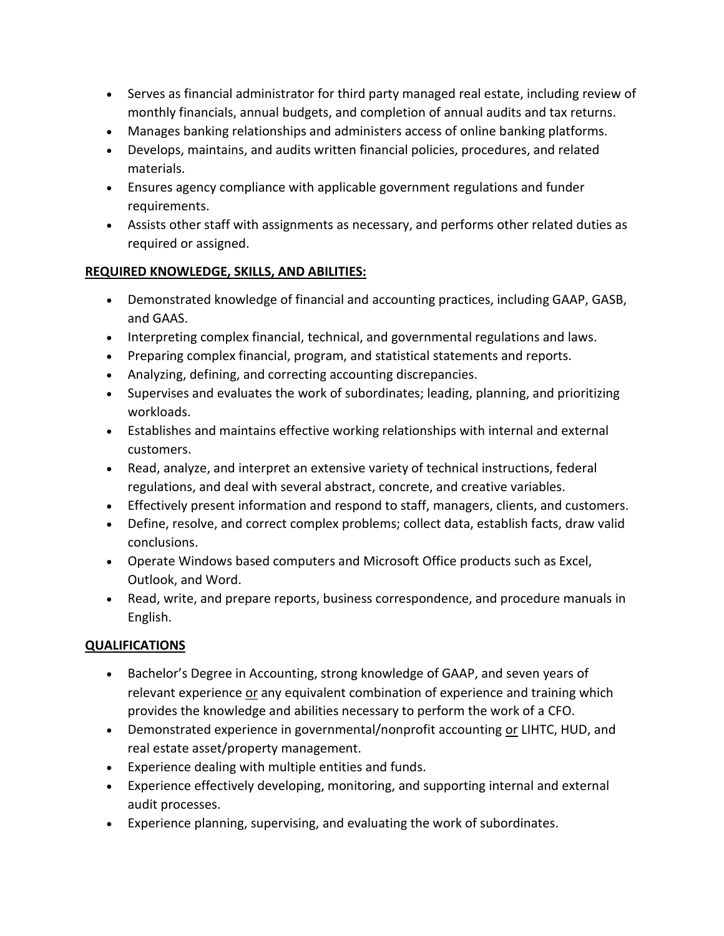- Serves as financial administrator for third party managed real estate, including review of monthly financials, annual budgets, and completion of annual audits and tax returns.
- Manages banking relationships and administers access of online banking platforms.
- Develops, maintains, and audits written financial policies, procedures, and related materials.
- Ensures agency compliance with applicable government regulations and funder requirements.
- Assists other staff with assignments as necessary, and performs other related duties as required or assigned.

## **REQUIRED KNOWLEDGE, SKILLS, AND ABILITIES:**

- Demonstrated knowledge of financial and accounting practices, including GAAP, GASB, and GAAS.
- Interpreting complex financial, technical, and governmental regulations and laws.
- Preparing complex financial, program, and statistical statements and reports.
- Analyzing, defining, and correcting accounting discrepancies.
- Supervises and evaluates the work of subordinates; leading, planning, and prioritizing workloads.
- Establishes and maintains effective working relationships with internal and external customers.
- Read, analyze, and interpret an extensive variety of technical instructions, federal regulations, and deal with several abstract, concrete, and creative variables.
- Effectively present information and respond to staff, managers, clients, and customers.
- Define, resolve, and correct complex problems; collect data, establish facts, draw valid conclusions.
- Operate Windows based computers and Microsoft Office products such as Excel, Outlook, and Word.
- Read, write, and prepare reports, business correspondence, and procedure manuals in English.

# **QUALIFICATIONS**

- Bachelor's Degree in Accounting, strong knowledge of GAAP, and seven years of relevant experience or any equivalent combination of experience and training which provides the knowledge and abilities necessary to perform the work of a CFO.
- Demonstrated experience in governmental/nonprofit accounting or LIHTC, HUD, and real estate asset/property management.
- Experience dealing with multiple entities and funds.
- Experience effectively developing, monitoring, and supporting internal and external audit processes.
- Experience planning, supervising, and evaluating the work of subordinates.